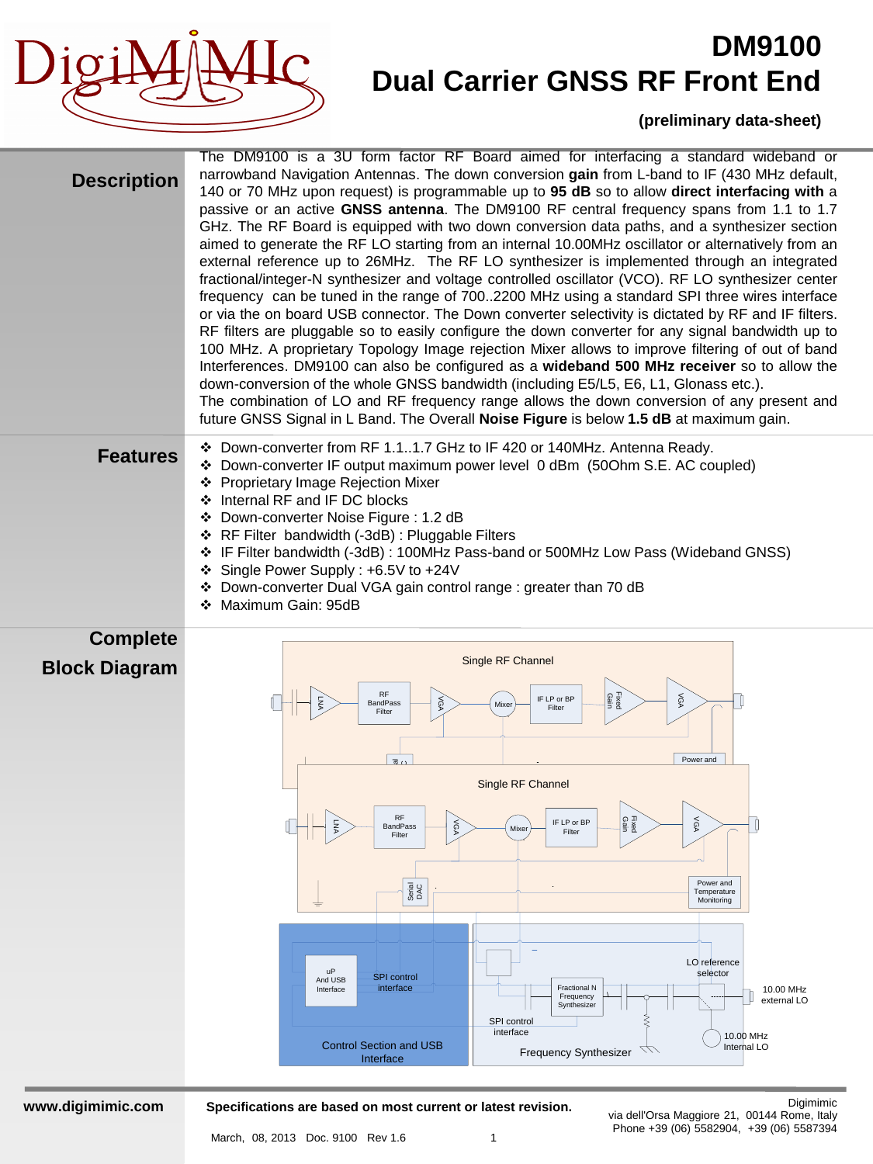

#### **(preliminary data-sheet)**

| <b>Description</b>                      | The DM9100 is a 3U form factor RF Board aimed for interfacing a standard wideband or<br>narrowband Navigation Antennas. The down conversion gain from L-band to IF (430 MHz default,<br>140 or 70 MHz upon request) is programmable up to 95 dB so to allow direct interfacing with a<br>passive or an active GNSS antenna. The DM9100 RF central frequency spans from 1.1 to 1.7<br>GHz. The RF Board is equipped with two down conversion data paths, and a synthesizer section<br>aimed to generate the RF LO starting from an internal 10.00MHz oscillator or alternatively from an<br>external reference up to 26MHz. The RF LO synthesizer is implemented through an integrated<br>fractional/integer-N synthesizer and voltage controlled oscillator (VCO). RF LO synthesizer center<br>frequency can be tuned in the range of 7002200 MHz using a standard SPI three wires interface<br>or via the on board USB connector. The Down converter selectivity is dictated by RF and IF filters.<br>RF filters are pluggable so to easily configure the down converter for any signal bandwidth up to<br>100 MHz. A proprietary Topology Image rejection Mixer allows to improve filtering of out of band<br>Interferences. DM9100 can also be configured as a wideband 500 MHz receiver so to allow the<br>down-conversion of the whole GNSS bandwidth (including E5/L5, E6, L1, Glonass etc.).<br>The combination of LO and RF frequency range allows the down conversion of any present and<br>future GNSS Signal in L Band. The Overall Noise Figure is below 1.5 dB at maximum gain. |  |  |  |  |
|-----------------------------------------|----------------------------------------------------------------------------------------------------------------------------------------------------------------------------------------------------------------------------------------------------------------------------------------------------------------------------------------------------------------------------------------------------------------------------------------------------------------------------------------------------------------------------------------------------------------------------------------------------------------------------------------------------------------------------------------------------------------------------------------------------------------------------------------------------------------------------------------------------------------------------------------------------------------------------------------------------------------------------------------------------------------------------------------------------------------------------------------------------------------------------------------------------------------------------------------------------------------------------------------------------------------------------------------------------------------------------------------------------------------------------------------------------------------------------------------------------------------------------------------------------------------------------------------------------------------------------------------------|--|--|--|--|
| <b>Features</b>                         | ❖ Down-converter from RF 1.11.7 GHz to IF 420 or 140MHz. Antenna Ready.<br>❖ Down-converter IF output maximum power level 0 dBm (50Ohm S.E. AC coupled)<br><b>Proprietary Image Rejection Mixer</b><br>❖<br>❖ Internal RF and IF DC blocks<br>Down-converter Noise Figure: 1.2 dB<br>❖<br>❖ RF Filter bandwidth (-3dB) : Pluggable Filters<br>IF Filter bandwidth (-3dB): 100MHz Pass-band or 500MHz Low Pass (Wideband GNSS)<br>❖<br>Single Power Supply: +6.5V to +24V<br>❖<br>Down-converter Dual VGA gain control range : greater than 70 dB<br>❖ Maximum Gain: 95dB                                                                                                                                                                                                                                                                                                                                                                                                                                                                                                                                                                                                                                                                                                                                                                                                                                                                                                                                                                                                                     |  |  |  |  |
| <b>Complete</b><br><b>Block Diagram</b> | Single RF Channel<br>RF<br>Fixed<br>Gain<br>λĝγ<br>IF LP or BP<br>ΛGΛ<br><b>BandPass</b><br>Mixer<br>Filter<br>Filter<br>Power and<br>Single RF Channel<br><b>RF</b><br>Fixed<br>Gain<br>VOV<br>IF LP or BP<br>O<br>λGΑ<br><b>BandPass</b><br>Mixer<br>Filter<br>Filter<br>Power and<br>Serial<br>DAC<br>Temperature<br>Monitoring<br>≐<br>LO reference<br>uP<br>selector<br><b>SPI</b> control<br>And USB<br>interface<br>Fractional N<br>10.00 MHz<br>Interface<br>Frequency<br>external LO<br>Synthesizer<br>SPI control<br>interface<br>10.00 MHz<br><b>Control Section and USB</b><br>Internal LO<br><b>Frequency Synthesizer</b><br>Interface                                                                                                                                                                                                                                                                                                                                                                                                                                                                                                                                                                                                                                                                                                                                                                                                                                                                                                                                          |  |  |  |  |

**www.digimimic.com**

**Specifications are based on most current or latest revision.**

Digimimic via dell'Orsa Maggiore 21, 00144 Rome, Italy Phone +39 (06) 5582904, +39 (06) 5587394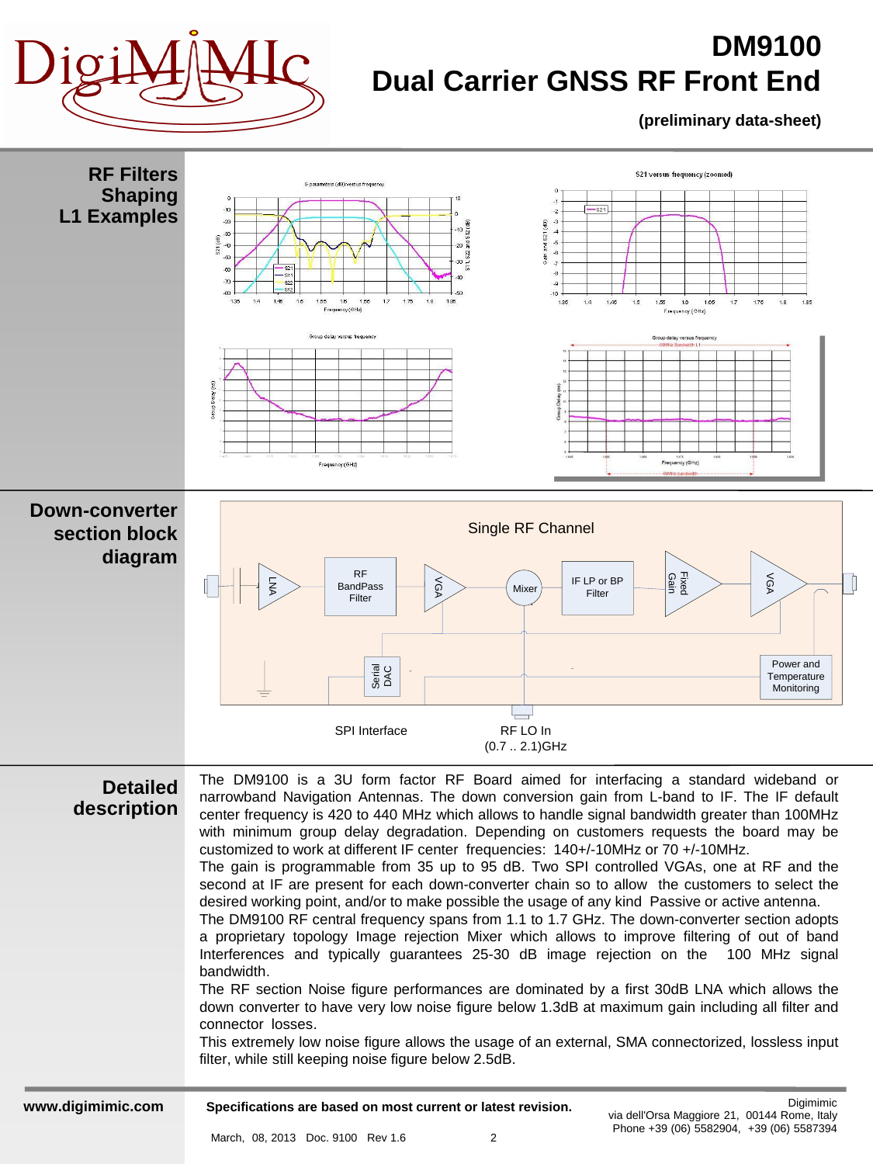

#### **(preliminary data-sheet)**

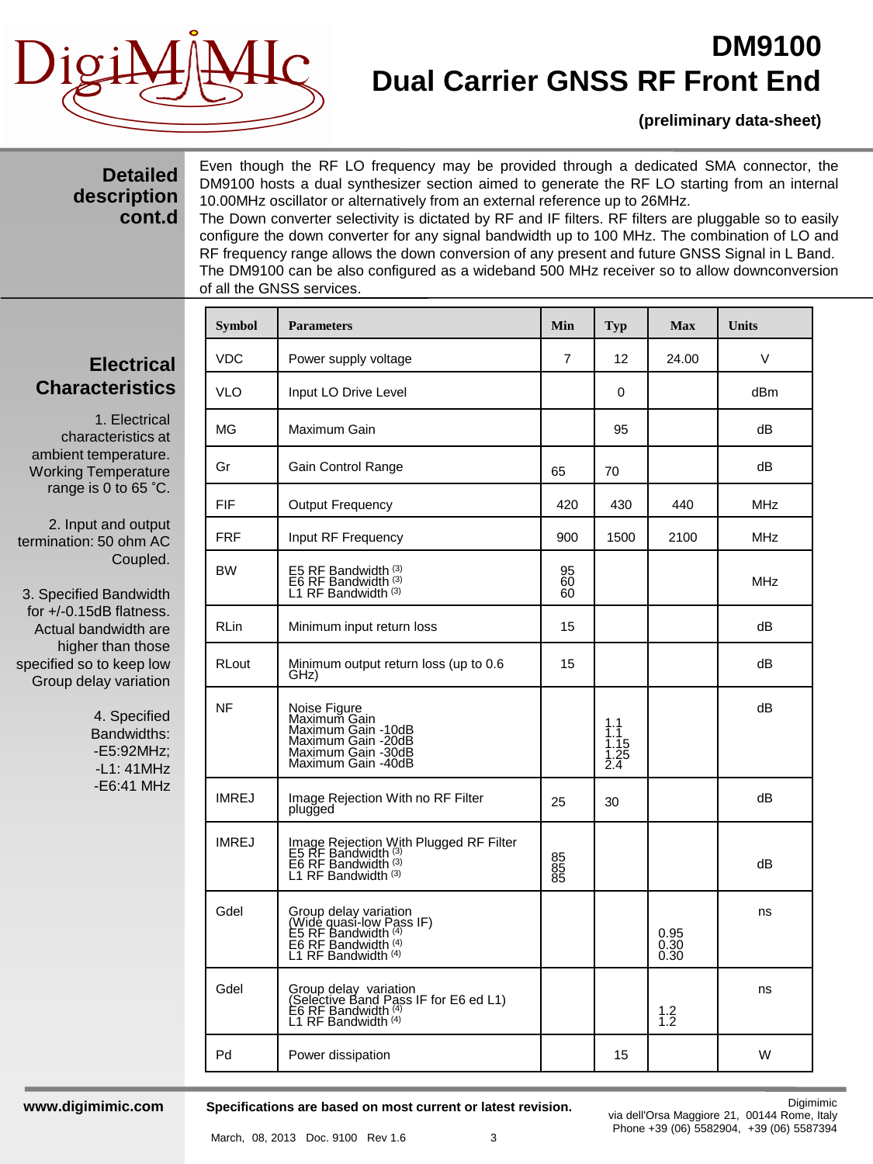

#### **(preliminary data-sheet)**

#### **Detailed description cont.d**

Even though the RF LO frequency may be provided through a dedicated SMA connector, the DM9100 hosts a dual synthesizer section aimed to generate the RF LO starting from an internal 10.00MHz oscillator or alternatively from an external reference up to 26MHz. The Down converter selectivity is dictated by RF and IF filters. RF filters are pluggable so to easily

configure the down converter for any signal bandwidth up to 100 MHz. The combination of LO and RF frequency range allows the down conversion of any present and future GNSS Signal in L Band. The DM9100 can be also configured as a wideband 500 MHz receiver so to allow downconversion of all the GNSS services.

### **Electrical Characteristics**

1. Electrical characteristics at ambient temperature. Working Temperature range is 0 to 65 °C.

2. Input and output termination: 50 ohm AC Coupled.

3. Specified Bandwidth for +/-0.15dB flatness. Actual bandwidth are higher than those specified so to keep low Group delay variation

> 4. Specified Bandwidths: -E5:92MHz; -L1: 41MHz -E6:41 MHz

| <b>Symbol</b> | <b>Parameters</b>                                                                                                        | Min            | <b>Typ</b>                        | <b>Max</b>                                          | Units      |
|---------------|--------------------------------------------------------------------------------------------------------------------------|----------------|-----------------------------------|-----------------------------------------------------|------------|
| <b>VDC</b>    | Power supply voltage                                                                                                     | 7              | 12                                | 24.00                                               | V          |
| <b>VLO</b>    | Input LO Drive Level                                                                                                     |                | $\Omega$                          |                                                     | dBm        |
| ΜG            | Maximum Gain                                                                                                             |                | 95                                |                                                     | dB         |
| Gr            | Gain Control Range                                                                                                       | 65             | 70                                |                                                     | dB         |
| FIF           | <b>Output Frequency</b>                                                                                                  | 420            | 430                               | 440                                                 | <b>MHz</b> |
| <b>FRF</b>    | Input RF Frequency                                                                                                       | 900            | 1500                              | 2100                                                | MHz        |
| <b>BW</b>     | E5 RF Bandwidth (3)<br>E6 RF Bandwidth (3)<br>L1 RF Bandwidth (3)                                                        | 95<br>60<br>60 |                                   |                                                     | MHz        |
| RLin          | Minimum input return loss                                                                                                | 15             |                                   |                                                     | dB         |
| RLout         | Minimum output return loss (up to 0.6<br>GHz)                                                                            | 15             |                                   |                                                     | dB         |
| <b>NF</b>     | Noise Figure<br>Maximum Gain<br>Maximum Gain -10dB<br>Maximum Gain<br>Maximum Gain -20dB<br>Maximum Gain -40dB           |                | 1.1<br>1.1<br>1.15<br>1.25<br>2.4 |                                                     | dB         |
| <b>IMREJ</b>  | Image Rejection With no RF Filter<br>plugged                                                                             | 25             | 30                                |                                                     | dB         |
| <b>IMREJ</b>  | Image Rejection With Plugged RF Filter<br>E5 RF Bandwidth (3)<br>E6 RF Bandwidth (3)<br>L1 RF Bandwidth (3)              | 85<br>85<br>85 |                                   |                                                     | dB         |
| Gdel          | Group delay variation<br>(Wide quasi-low Pass IF)<br>E5 RF Bandwidth (4)<br>E6 RF Bandwidth (4)<br>L1 RF Bandwidth $(4)$ |                |                                   | $\begin{array}{c} 0.95 \\ 0.30 \end{array}$<br>0.30 | ns         |
| Gdel          | Group delay variation<br>(Selective Band Pass IF for E6 ed L1)<br>E6 RF Bandwidth (4)<br>L1 RF Bandwidth (4)             |                |                                   | $1.2$<br>$1.2$                                      | ns         |
| Pd            | Power dissipation                                                                                                        |                | 15                                |                                                     | W          |

#### **www.digimimic.com**

**Specifications are based on most current or latest revision.**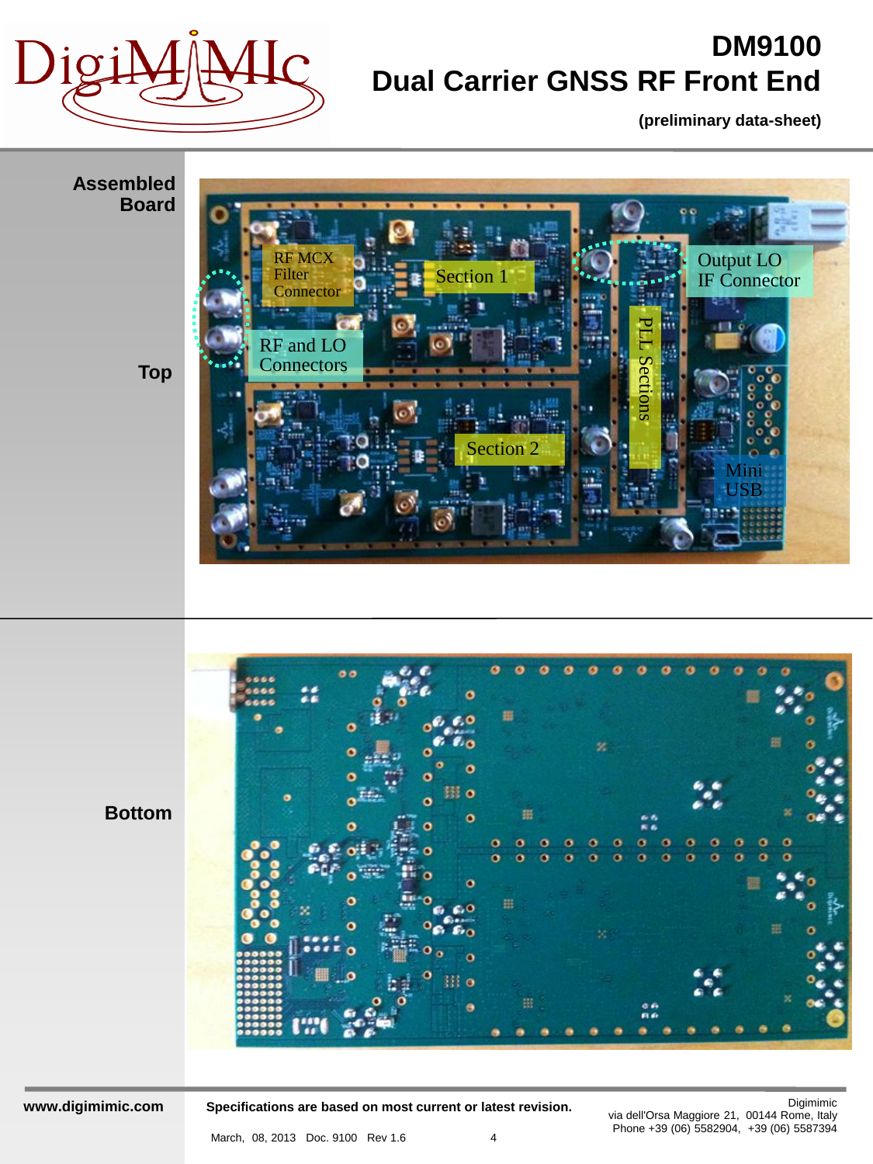

**(preliminary data-sheet)**



**Specifications are based on most current or latest revision.**